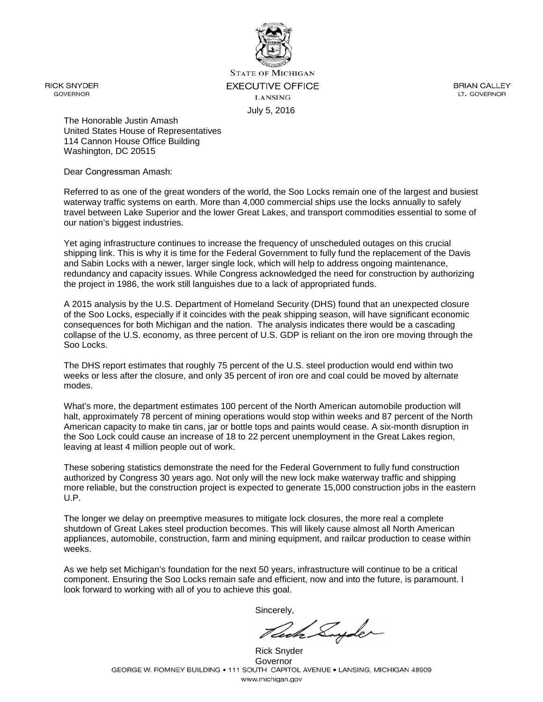

**STATE OF MICHIGAN EXECUTIVE OFFICE LANSING** July 5, 2016

**BRIAN CALLEY** LT. GOVERNOR

The Honorable Justin Amash United States House of Representatives 114 Cannon House Office Building Washington, DC 20515

Dear Congressman Amash:

Referred to as one of the great wonders of the world, the Soo Locks remain one of the largest and busiest waterway traffic systems on earth. More than 4,000 commercial ships use the locks annually to safely travel between Lake Superior and the lower Great Lakes, and transport commodities essential to some of our nation's biggest industries.

Yet aging infrastructure continues to increase the frequency of unscheduled outages on this crucial shipping link. This is why it is time for the Federal Government to fully fund the replacement of the Davis and Sabin Locks with a newer, larger single lock, which will help to address ongoing maintenance, redundancy and capacity issues. While Congress acknowledged the need for construction by authorizing the project in 1986, the work still languishes due to a lack of appropriated funds.

A 2015 analysis by the U.S. Department of Homeland Security (DHS) found that an unexpected closure of the Soo Locks, especially if it coincides with the peak shipping season, will have significant economic consequences for both Michigan and the nation. The analysis indicates there would be a cascading collapse of the U.S. economy, as three percent of U.S. GDP is reliant on the iron ore moving through the Soo Locks.

The DHS report estimates that roughly 75 percent of the U.S. steel production would end within two weeks or less after the closure, and only 35 percent of iron ore and coal could be moved by alternate modes.

What's more, the department estimates 100 percent of the North American automobile production will halt, approximately 78 percent of mining operations would stop within weeks and 87 percent of the North American capacity to make tin cans, jar or bottle tops and paints would cease. A six-month disruption in the Soo Lock could cause an increase of 18 to 22 percent unemployment in the Great Lakes region, leaving at least 4 million people out of work.

These sobering statistics demonstrate the need for the Federal Government to fully fund construction authorized by Congress 30 years ago. Not only will the new lock make waterway traffic and shipping more reliable, but the construction project is expected to generate 15,000 construction jobs in the eastern U.P.

The longer we delay on preemptive measures to mitigate lock closures, the more real a complete shutdown of Great Lakes steel production becomes. This will likely cause almost all North American appliances, automobile, construction, farm and mining equipment, and railcar production to cease within weeks.

As we help set Michigan's foundation for the next 50 years, infrastructure will continue to be a critical component. Ensuring the Soo Locks remain safe and efficient, now and into the future, is paramount. I look forward to working with all of you to achieve this goal.

Rich Suyder

Rick Snyder Governor<br>GEORGE W. ROMNEY BUILDING • 111 SOUTH CAPITOL AVENUE • LANSING, MICHIGAN 48909 www.michigan.gov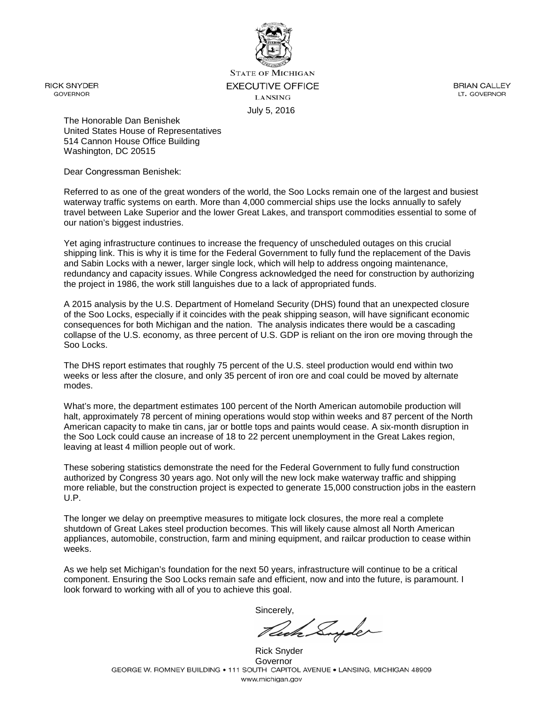

**STATE OF MICHIGAN EXECUTIVE OFFICE LANSING** July 5, 2016

**BRIAN CALLEY** LT. GOVERNOR

The Honorable Dan Benishek United States House of Representatives 514 Cannon House Office Building Washington, DC 20515

Dear Congressman Benishek:

Referred to as one of the great wonders of the world, the Soo Locks remain one of the largest and busiest waterway traffic systems on earth. More than 4,000 commercial ships use the locks annually to safely travel between Lake Superior and the lower Great Lakes, and transport commodities essential to some of our nation's biggest industries.

Yet aging infrastructure continues to increase the frequency of unscheduled outages on this crucial shipping link. This is why it is time for the Federal Government to fully fund the replacement of the Davis and Sabin Locks with a newer, larger single lock, which will help to address ongoing maintenance, redundancy and capacity issues. While Congress acknowledged the need for construction by authorizing the project in 1986, the work still languishes due to a lack of appropriated funds.

A 2015 analysis by the U.S. Department of Homeland Security (DHS) found that an unexpected closure of the Soo Locks, especially if it coincides with the peak shipping season, will have significant economic consequences for both Michigan and the nation. The analysis indicates there would be a cascading collapse of the U.S. economy, as three percent of U.S. GDP is reliant on the iron ore moving through the Soo Locks.

The DHS report estimates that roughly 75 percent of the U.S. steel production would end within two weeks or less after the closure, and only 35 percent of iron ore and coal could be moved by alternate modes.

What's more, the department estimates 100 percent of the North American automobile production will halt, approximately 78 percent of mining operations would stop within weeks and 87 percent of the North American capacity to make tin cans, jar or bottle tops and paints would cease. A six-month disruption in the Soo Lock could cause an increase of 18 to 22 percent unemployment in the Great Lakes region, leaving at least 4 million people out of work.

These sobering statistics demonstrate the need for the Federal Government to fully fund construction authorized by Congress 30 years ago. Not only will the new lock make waterway traffic and shipping more reliable, but the construction project is expected to generate 15,000 construction jobs in the eastern U.P.

The longer we delay on preemptive measures to mitigate lock closures, the more real a complete shutdown of Great Lakes steel production becomes. This will likely cause almost all North American appliances, automobile, construction, farm and mining equipment, and railcar production to cease within weeks.

As we help set Michigan's foundation for the next 50 years, infrastructure will continue to be a critical component. Ensuring the Soo Locks remain safe and efficient, now and into the future, is paramount. I look forward to working with all of you to achieve this goal.

Rich Suyder

Rick Snyder Governor<br>GEORGE W. ROMNEY BUILDING • 111 SOUTH CAPITOL AVENUE • LANSING, MICHIGAN 48909 www.michigan.gov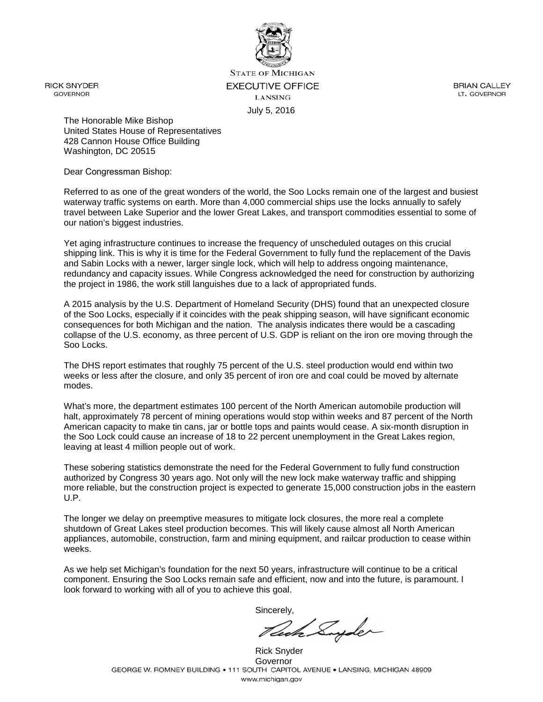

**STATE OF MICHIGAN EXECUTIVE OFFICE LANSING** July 5, 2016

**BRIAN CALLEY** LT. GOVERNOR

The Honorable Mike Bishop United States House of Representatives 428 Cannon House Office Building Washington, DC 20515

Dear Congressman Bishop:

Referred to as one of the great wonders of the world, the Soo Locks remain one of the largest and busiest waterway traffic systems on earth. More than 4,000 commercial ships use the locks annually to safely travel between Lake Superior and the lower Great Lakes, and transport commodities essential to some of our nation's biggest industries.

Yet aging infrastructure continues to increase the frequency of unscheduled outages on this crucial shipping link. This is why it is time for the Federal Government to fully fund the replacement of the Davis and Sabin Locks with a newer, larger single lock, which will help to address ongoing maintenance, redundancy and capacity issues. While Congress acknowledged the need for construction by authorizing the project in 1986, the work still languishes due to a lack of appropriated funds.

A 2015 analysis by the U.S. Department of Homeland Security (DHS) found that an unexpected closure of the Soo Locks, especially if it coincides with the peak shipping season, will have significant economic consequences for both Michigan and the nation. The analysis indicates there would be a cascading collapse of the U.S. economy, as three percent of U.S. GDP is reliant on the iron ore moving through the Soo Locks.

The DHS report estimates that roughly 75 percent of the U.S. steel production would end within two weeks or less after the closure, and only 35 percent of iron ore and coal could be moved by alternate modes.

What's more, the department estimates 100 percent of the North American automobile production will halt, approximately 78 percent of mining operations would stop within weeks and 87 percent of the North American capacity to make tin cans, jar or bottle tops and paints would cease. A six-month disruption in the Soo Lock could cause an increase of 18 to 22 percent unemployment in the Great Lakes region, leaving at least 4 million people out of work.

These sobering statistics demonstrate the need for the Federal Government to fully fund construction authorized by Congress 30 years ago. Not only will the new lock make waterway traffic and shipping more reliable, but the construction project is expected to generate 15,000 construction jobs in the eastern U.P.

The longer we delay on preemptive measures to mitigate lock closures, the more real a complete shutdown of Great Lakes steel production becomes. This will likely cause almost all North American appliances, automobile, construction, farm and mining equipment, and railcar production to cease within weeks.

As we help set Michigan's foundation for the next 50 years, infrastructure will continue to be a critical component. Ensuring the Soo Locks remain safe and efficient, now and into the future, is paramount. I look forward to working with all of you to achieve this goal.

Sincerely,

Rich Suyder

Rick Snyder Governor<br>GEORGE W. ROMNEY BUILDING • 111 SOUTH CAPITOL AVENUE • LANSING, MICHIGAN 48909 www.michigan.gov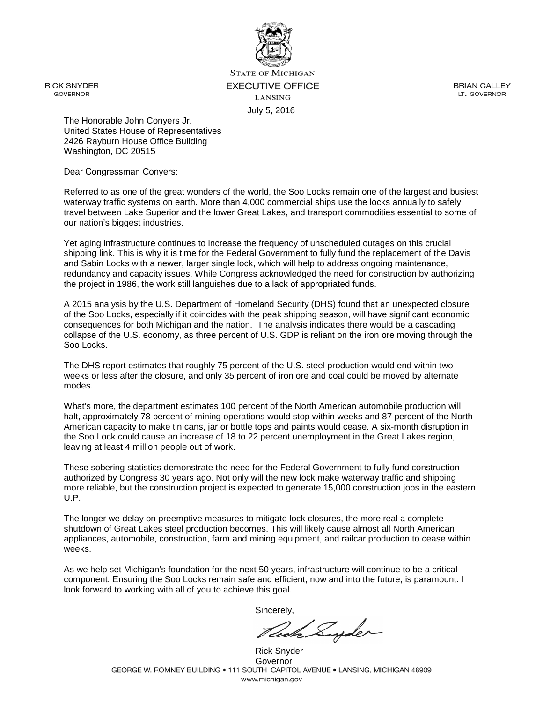

**STATE OF MICHIGAN EXECUTIVE OFFICE LANSING** July 5, 2016

**BRIAN CALLEY** LT. GOVERNOR

The Honorable John Conyers Jr. United States House of Representatives 2426 Rayburn House Office Building Washington, DC 20515

Dear Congressman Conyers:

Referred to as one of the great wonders of the world, the Soo Locks remain one of the largest and busiest waterway traffic systems on earth. More than 4,000 commercial ships use the locks annually to safely travel between Lake Superior and the lower Great Lakes, and transport commodities essential to some of our nation's biggest industries.

Yet aging infrastructure continues to increase the frequency of unscheduled outages on this crucial shipping link. This is why it is time for the Federal Government to fully fund the replacement of the Davis and Sabin Locks with a newer, larger single lock, which will help to address ongoing maintenance, redundancy and capacity issues. While Congress acknowledged the need for construction by authorizing the project in 1986, the work still languishes due to a lack of appropriated funds.

A 2015 analysis by the U.S. Department of Homeland Security (DHS) found that an unexpected closure of the Soo Locks, especially if it coincides with the peak shipping season, will have significant economic consequences for both Michigan and the nation. The analysis indicates there would be a cascading collapse of the U.S. economy, as three percent of U.S. GDP is reliant on the iron ore moving through the Soo Locks.

The DHS report estimates that roughly 75 percent of the U.S. steel production would end within two weeks or less after the closure, and only 35 percent of iron ore and coal could be moved by alternate modes.

What's more, the department estimates 100 percent of the North American automobile production will halt, approximately 78 percent of mining operations would stop within weeks and 87 percent of the North American capacity to make tin cans, jar or bottle tops and paints would cease. A six-month disruption in the Soo Lock could cause an increase of 18 to 22 percent unemployment in the Great Lakes region, leaving at least 4 million people out of work.

These sobering statistics demonstrate the need for the Federal Government to fully fund construction authorized by Congress 30 years ago. Not only will the new lock make waterway traffic and shipping more reliable, but the construction project is expected to generate 15,000 construction jobs in the eastern U.P.

The longer we delay on preemptive measures to mitigate lock closures, the more real a complete shutdown of Great Lakes steel production becomes. This will likely cause almost all North American appliances, automobile, construction, farm and mining equipment, and railcar production to cease within weeks.

As we help set Michigan's foundation for the next 50 years, infrastructure will continue to be a critical component. Ensuring the Soo Locks remain safe and efficient, now and into the future, is paramount. I look forward to working with all of you to achieve this goal.

Cech Suyder

Rick Snyder Governor<br>GEORGE W. ROMNEY BUILDING • 111 SOUTH CAPITOL AVENUE • LANSING, MICHIGAN 48909 www.michigan.gov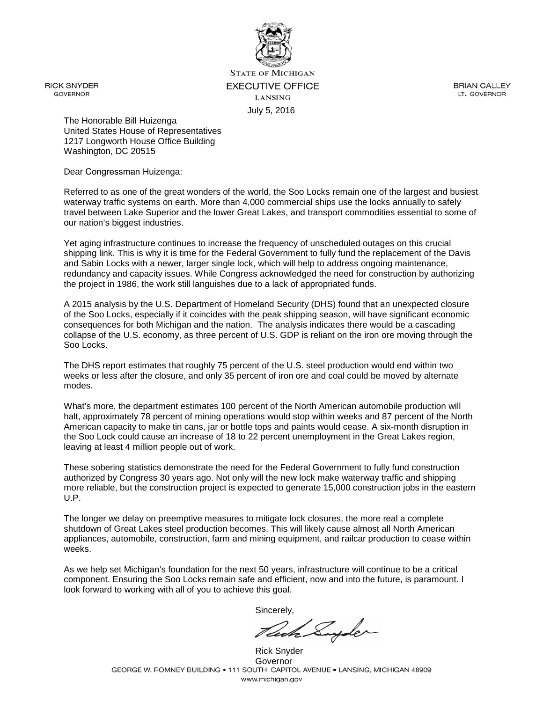

**STATE OF MICHIGAN EXECUTIVE OFFICE LANSING** July 5, 2016

**BRIAN CALLEY** LT. GOVERNOR

The Honorable Bill Huizenga United States House of Representatives 1217 Longworth House Office Building Washington, DC 20515

Dear Congressman Huizenga:

Referred to as one of the great wonders of the world, the Soo Locks remain one of the largest and busiest waterway traffic systems on earth. More than 4,000 commercial ships use the locks annually to safely travel between Lake Superior and the lower Great Lakes, and transport commodities essential to some of our nation's biggest industries.

Yet aging infrastructure continues to increase the frequency of unscheduled outages on this crucial shipping link. This is why it is time for the Federal Government to fully fund the replacement of the Davis and Sabin Locks with a newer, larger single lock, which will help to address ongoing maintenance, redundancy and capacity issues. While Congress acknowledged the need for construction by authorizing the project in 1986, the work still languishes due to a lack of appropriated funds.

A 2015 analysis by the U.S. Department of Homeland Security (DHS) found that an unexpected closure of the Soo Locks, especially if it coincides with the peak shipping season, will have significant economic consequences for both Michigan and the nation. The analysis indicates there would be a cascading collapse of the U.S. economy, as three percent of U.S. GDP is reliant on the iron ore moving through the Soo Locks.

The DHS report estimates that roughly 75 percent of the U.S. steel production would end within two weeks or less after the closure, and only 35 percent of iron ore and coal could be moved by alternate modes.

What's more, the department estimates 100 percent of the North American automobile production will halt, approximately 78 percent of mining operations would stop within weeks and 87 percent of the North American capacity to make tin cans, jar or bottle tops and paints would cease. A six-month disruption in the Soo Lock could cause an increase of 18 to 22 percent unemployment in the Great Lakes region, leaving at least 4 million people out of work.

These sobering statistics demonstrate the need for the Federal Government to fully fund construction authorized by Congress 30 years ago. Not only will the new lock make waterway traffic and shipping more reliable, but the construction project is expected to generate 15,000 construction jobs in the eastern U.P.

The longer we delay on preemptive measures to mitigate lock closures, the more real a complete shutdown of Great Lakes steel production becomes. This will likely cause almost all North American appliances, automobile, construction, farm and mining equipment, and railcar production to cease within weeks.

As we help set Michigan's foundation for the next 50 years, infrastructure will continue to be a critical component. Ensuring the Soo Locks remain safe and efficient, now and into the future, is paramount. I look forward to working with all of you to achieve this goal.

Ceda Suyder

Rick Snyder Governor<br>GEORGE W. ROMNEY BUILDING • 111 SOUTH CAPITOL AVENUE • LANSING, MICHIGAN 48909 www.michigan.gov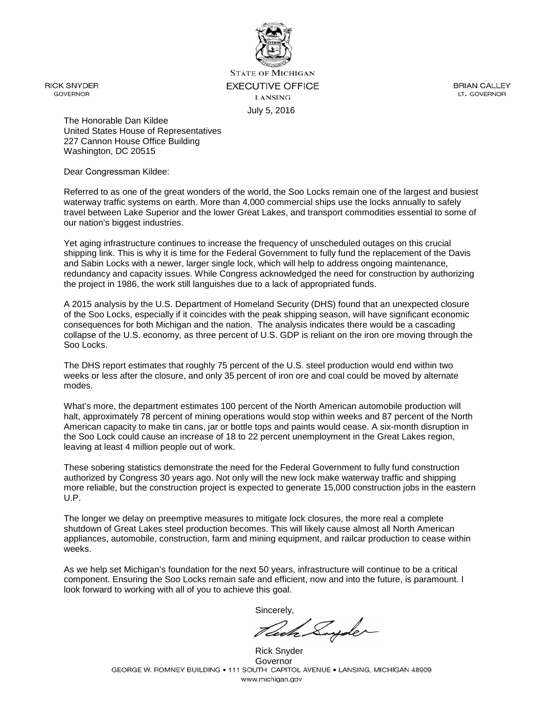

**STATE OF MICHIGAN EXECUTIVE OFFICE LANSING** July 5, 2016

**BRIAN CALLEY** LT. GOVERNOR

The Honorable Dan Kildee United States House of Representatives 227 Cannon House Office Building Washington, DC 20515

Dear Congressman Kildee:

Referred to as one of the great wonders of the world, the Soo Locks remain one of the largest and busiest waterway traffic systems on earth. More than 4,000 commercial ships use the locks annually to safely travel between Lake Superior and the lower Great Lakes, and transport commodities essential to some of our nation's biggest industries.

Yet aging infrastructure continues to increase the frequency of unscheduled outages on this crucial shipping link. This is why it is time for the Federal Government to fully fund the replacement of the Davis and Sabin Locks with a newer, larger single lock, which will help to address ongoing maintenance, redundancy and capacity issues. While Congress acknowledged the need for construction by authorizing the project in 1986, the work still languishes due to a lack of appropriated funds.

A 2015 analysis by the U.S. Department of Homeland Security (DHS) found that an unexpected closure of the Soo Locks, especially if it coincides with the peak shipping season, will have significant economic consequences for both Michigan and the nation. The analysis indicates there would be a cascading collapse of the U.S. economy, as three percent of U.S. GDP is reliant on the iron ore moving through the Soo Locks.

The DHS report estimates that roughly 75 percent of the U.S. steel production would end within two weeks or less after the closure, and only 35 percent of iron ore and coal could be moved by alternate modes.

What's more, the department estimates 100 percent of the North American automobile production will halt, approximately 78 percent of mining operations would stop within weeks and 87 percent of the North American capacity to make tin cans, jar or bottle tops and paints would cease. A six-month disruption in the Soo Lock could cause an increase of 18 to 22 percent unemployment in the Great Lakes region, leaving at least 4 million people out of work.

These sobering statistics demonstrate the need for the Federal Government to fully fund construction authorized by Congress 30 years ago. Not only will the new lock make waterway traffic and shipping more reliable, but the construction project is expected to generate 15,000 construction jobs in the eastern U.P.

The longer we delay on preemptive measures to mitigate lock closures, the more real a complete shutdown of Great Lakes steel production becomes. This will likely cause almost all North American appliances, automobile, construction, farm and mining equipment, and railcar production to cease within weeks.

As we help set Michigan's foundation for the next 50 years, infrastructure will continue to be a critical component. Ensuring the Soo Locks remain safe and efficient, now and into the future, is paramount. I look forward to working with all of you to achieve this goal.

Cach Suyder

Rick Snyder Governor<br>GEORGE W. ROMNEY BUILDING • 111 SOUTH CAPITOL AVENUE • LANSING, MICHIGAN 48909 www.michigan.gov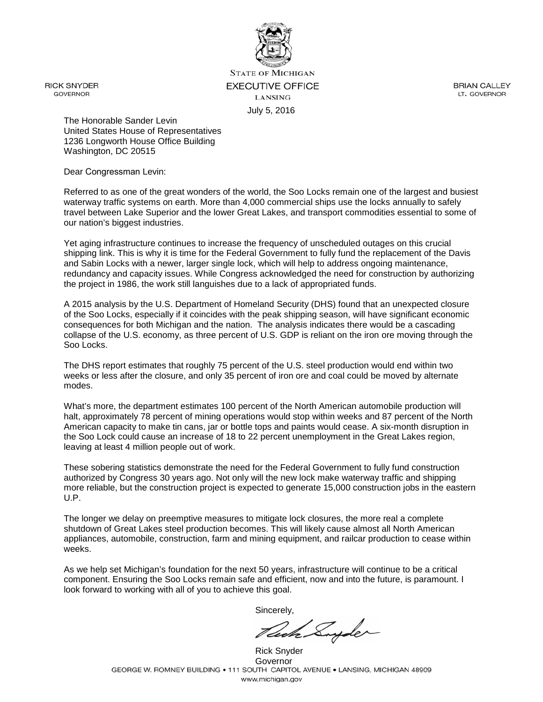

**STATE OF MICHIGAN EXECUTIVE OFFICE LANSING** July 5, 2016

**BRIAN CALLEY** LT. GOVERNOR

The Honorable Sander Levin United States House of Representatives 1236 Longworth House Office Building Washington, DC 20515

Dear Congressman Levin:

Referred to as one of the great wonders of the world, the Soo Locks remain one of the largest and busiest waterway traffic systems on earth. More than 4,000 commercial ships use the locks annually to safely travel between Lake Superior and the lower Great Lakes, and transport commodities essential to some of our nation's biggest industries.

Yet aging infrastructure continues to increase the frequency of unscheduled outages on this crucial shipping link. This is why it is time for the Federal Government to fully fund the replacement of the Davis and Sabin Locks with a newer, larger single lock, which will help to address ongoing maintenance, redundancy and capacity issues. While Congress acknowledged the need for construction by authorizing the project in 1986, the work still languishes due to a lack of appropriated funds.

A 2015 analysis by the U.S. Department of Homeland Security (DHS) found that an unexpected closure of the Soo Locks, especially if it coincides with the peak shipping season, will have significant economic consequences for both Michigan and the nation. The analysis indicates there would be a cascading collapse of the U.S. economy, as three percent of U.S. GDP is reliant on the iron ore moving through the Soo Locks.

The DHS report estimates that roughly 75 percent of the U.S. steel production would end within two weeks or less after the closure, and only 35 percent of iron ore and coal could be moved by alternate modes.

What's more, the department estimates 100 percent of the North American automobile production will halt, approximately 78 percent of mining operations would stop within weeks and 87 percent of the North American capacity to make tin cans, jar or bottle tops and paints would cease. A six-month disruption in the Soo Lock could cause an increase of 18 to 22 percent unemployment in the Great Lakes region, leaving at least 4 million people out of work.

These sobering statistics demonstrate the need for the Federal Government to fully fund construction authorized by Congress 30 years ago. Not only will the new lock make waterway traffic and shipping more reliable, but the construction project is expected to generate 15,000 construction jobs in the eastern U.P.

The longer we delay on preemptive measures to mitigate lock closures, the more real a complete shutdown of Great Lakes steel production becomes. This will likely cause almost all North American appliances, automobile, construction, farm and mining equipment, and railcar production to cease within weeks.

As we help set Michigan's foundation for the next 50 years, infrastructure will continue to be a critical component. Ensuring the Soo Locks remain safe and efficient, now and into the future, is paramount. I look forward to working with all of you to achieve this goal.

John Suyder

Rick Snyder Governor<br>GEORGE W. ROMNEY BUILDING • 111 SOUTH CAPITOL AVENUE • LANSING, MICHIGAN 48909 www.michigan.gov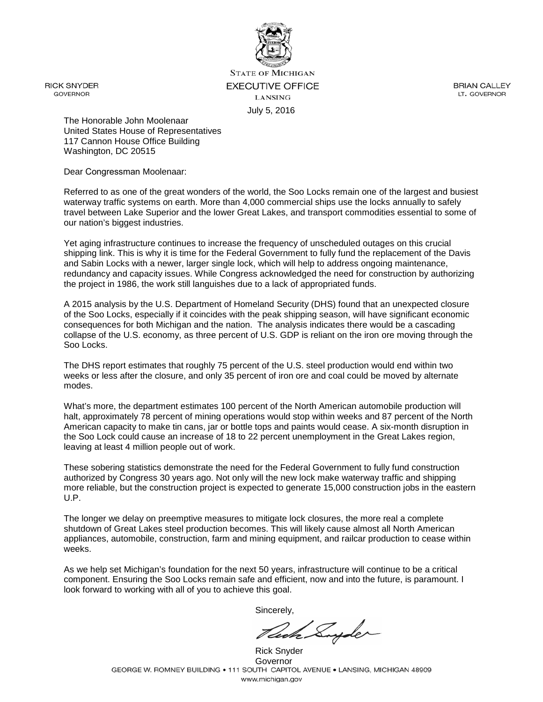

**STATE OF MICHIGAN EXECUTIVE OFFICE LANSING** July 5, 2016

**BRIAN CALLEY** LT. GOVERNOR

The Honorable John Moolenaar United States House of Representatives 117 Cannon House Office Building Washington, DC 20515

Dear Congressman Moolenaar:

Referred to as one of the great wonders of the world, the Soo Locks remain one of the largest and busiest waterway traffic systems on earth. More than 4,000 commercial ships use the locks annually to safely travel between Lake Superior and the lower Great Lakes, and transport commodities essential to some of our nation's biggest industries.

Yet aging infrastructure continues to increase the frequency of unscheduled outages on this crucial shipping link. This is why it is time for the Federal Government to fully fund the replacement of the Davis and Sabin Locks with a newer, larger single lock, which will help to address ongoing maintenance, redundancy and capacity issues. While Congress acknowledged the need for construction by authorizing the project in 1986, the work still languishes due to a lack of appropriated funds.

A 2015 analysis by the U.S. Department of Homeland Security (DHS) found that an unexpected closure of the Soo Locks, especially if it coincides with the peak shipping season, will have significant economic consequences for both Michigan and the nation. The analysis indicates there would be a cascading collapse of the U.S. economy, as three percent of U.S. GDP is reliant on the iron ore moving through the Soo Locks.

The DHS report estimates that roughly 75 percent of the U.S. steel production would end within two weeks or less after the closure, and only 35 percent of iron ore and coal could be moved by alternate modes.

What's more, the department estimates 100 percent of the North American automobile production will halt, approximately 78 percent of mining operations would stop within weeks and 87 percent of the North American capacity to make tin cans, jar or bottle tops and paints would cease. A six-month disruption in the Soo Lock could cause an increase of 18 to 22 percent unemployment in the Great Lakes region, leaving at least 4 million people out of work.

These sobering statistics demonstrate the need for the Federal Government to fully fund construction authorized by Congress 30 years ago. Not only will the new lock make waterway traffic and shipping more reliable, but the construction project is expected to generate 15,000 construction jobs in the eastern U.P.

The longer we delay on preemptive measures to mitigate lock closures, the more real a complete shutdown of Great Lakes steel production becomes. This will likely cause almost all North American appliances, automobile, construction, farm and mining equipment, and railcar production to cease within weeks.

As we help set Michigan's foundation for the next 50 years, infrastructure will continue to be a critical component. Ensuring the Soo Locks remain safe and efficient, now and into the future, is paramount. I look forward to working with all of you to achieve this goal.

Cook Suyder

Rick Snyder Governor<br>GEORGE W. ROMNEY BUILDING • 111 SOUTH CAPITOL AVENUE • LANSING, MICHIGAN 48909 www.michigan.gov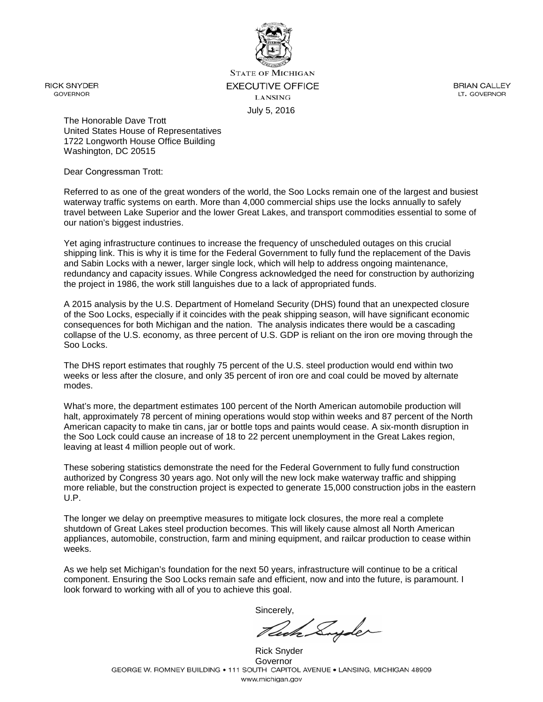

**STATE OF MICHIGAN EXECUTIVE OFFICE LANSING** July 5, 2016

**BRIAN CALLEY** LT. GOVERNOR

The Honorable Dave Trott United States House of Representatives 1722 Longworth House Office Building Washington, DC 20515

Dear Congressman Trott:

Referred to as one of the great wonders of the world, the Soo Locks remain one of the largest and busiest waterway traffic systems on earth. More than 4,000 commercial ships use the locks annually to safely travel between Lake Superior and the lower Great Lakes, and transport commodities essential to some of our nation's biggest industries.

Yet aging infrastructure continues to increase the frequency of unscheduled outages on this crucial shipping link. This is why it is time for the Federal Government to fully fund the replacement of the Davis and Sabin Locks with a newer, larger single lock, which will help to address ongoing maintenance, redundancy and capacity issues. While Congress acknowledged the need for construction by authorizing the project in 1986, the work still languishes due to a lack of appropriated funds.

A 2015 analysis by the U.S. Department of Homeland Security (DHS) found that an unexpected closure of the Soo Locks, especially if it coincides with the peak shipping season, will have significant economic consequences for both Michigan and the nation. The analysis indicates there would be a cascading collapse of the U.S. economy, as three percent of U.S. GDP is reliant on the iron ore moving through the Soo Locks.

The DHS report estimates that roughly 75 percent of the U.S. steel production would end within two weeks or less after the closure, and only 35 percent of iron ore and coal could be moved by alternate modes.

What's more, the department estimates 100 percent of the North American automobile production will halt, approximately 78 percent of mining operations would stop within weeks and 87 percent of the North American capacity to make tin cans, jar or bottle tops and paints would cease. A six-month disruption in the Soo Lock could cause an increase of 18 to 22 percent unemployment in the Great Lakes region, leaving at least 4 million people out of work.

These sobering statistics demonstrate the need for the Federal Government to fully fund construction authorized by Congress 30 years ago. Not only will the new lock make waterway traffic and shipping more reliable, but the construction project is expected to generate 15,000 construction jobs in the eastern U.P.

The longer we delay on preemptive measures to mitigate lock closures, the more real a complete shutdown of Great Lakes steel production becomes. This will likely cause almost all North American appliances, automobile, construction, farm and mining equipment, and railcar production to cease within weeks.

As we help set Michigan's foundation for the next 50 years, infrastructure will continue to be a critical component. Ensuring the Soo Locks remain safe and efficient, now and into the future, is paramount. I look forward to working with all of you to achieve this goal.

Pede Suyder

Rick Snyder Governor<br>GEORGE W. ROMNEY BUILDING • 111 SOUTH CAPITOL AVENUE • LANSING, MICHIGAN 48909 www.michigan.gov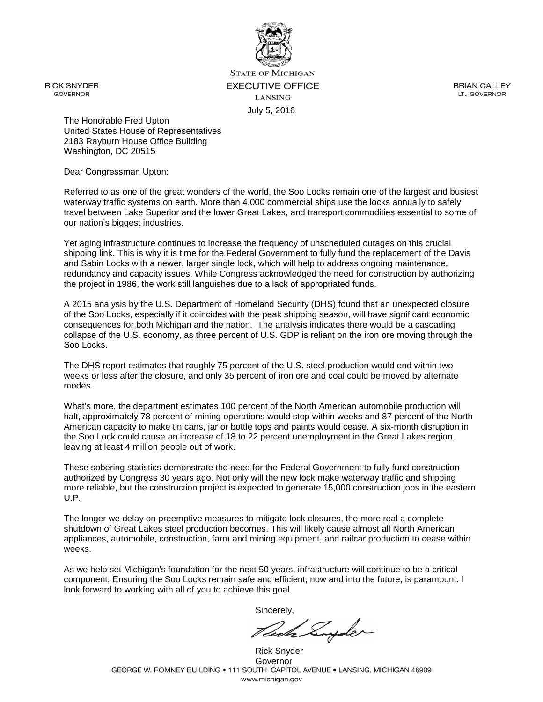

**STATE OF MICHIGAN EXECUTIVE OFFICE LANSING** July 5, 2016

**BRIAN CALLEY** LT. GOVERNOR

The Honorable Fred Upton United States House of Representatives 2183 Rayburn House Office Building Washington, DC 20515

Dear Congressman Upton:

Referred to as one of the great wonders of the world, the Soo Locks remain one of the largest and busiest waterway traffic systems on earth. More than 4,000 commercial ships use the locks annually to safely travel between Lake Superior and the lower Great Lakes, and transport commodities essential to some of our nation's biggest industries.

Yet aging infrastructure continues to increase the frequency of unscheduled outages on this crucial shipping link. This is why it is time for the Federal Government to fully fund the replacement of the Davis and Sabin Locks with a newer, larger single lock, which will help to address ongoing maintenance, redundancy and capacity issues. While Congress acknowledged the need for construction by authorizing the project in 1986, the work still languishes due to a lack of appropriated funds.

A 2015 analysis by the U.S. Department of Homeland Security (DHS) found that an unexpected closure of the Soo Locks, especially if it coincides with the peak shipping season, will have significant economic consequences for both Michigan and the nation. The analysis indicates there would be a cascading collapse of the U.S. economy, as three percent of U.S. GDP is reliant on the iron ore moving through the Soo Locks.

The DHS report estimates that roughly 75 percent of the U.S. steel production would end within two weeks or less after the closure, and only 35 percent of iron ore and coal could be moved by alternate modes.

What's more, the department estimates 100 percent of the North American automobile production will halt, approximately 78 percent of mining operations would stop within weeks and 87 percent of the North American capacity to make tin cans, jar or bottle tops and paints would cease. A six-month disruption in the Soo Lock could cause an increase of 18 to 22 percent unemployment in the Great Lakes region, leaving at least 4 million people out of work.

These sobering statistics demonstrate the need for the Federal Government to fully fund construction authorized by Congress 30 years ago. Not only will the new lock make waterway traffic and shipping more reliable, but the construction project is expected to generate 15,000 construction jobs in the eastern U.P.

The longer we delay on preemptive measures to mitigate lock closures, the more real a complete shutdown of Great Lakes steel production becomes. This will likely cause almost all North American appliances, automobile, construction, farm and mining equipment, and railcar production to cease within weeks.

As we help set Michigan's foundation for the next 50 years, infrastructure will continue to be a critical component. Ensuring the Soo Locks remain safe and efficient, now and into the future, is paramount. I look forward to working with all of you to achieve this goal.

John Suyder

Rick Snyder Governor<br>GEORGE W. ROMNEY BUILDING • 111 SOUTH CAPITOL AVENUE • LANSING, MICHIGAN 48909 www.michigan.gov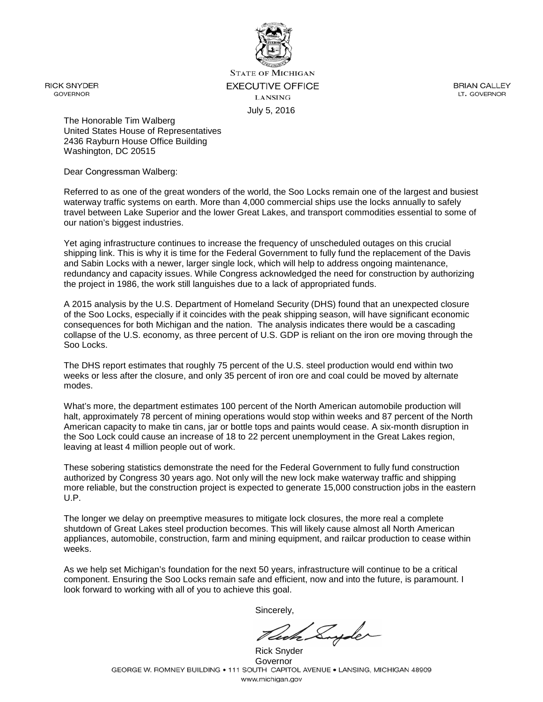

**STATE OF MICHIGAN EXECUTIVE OFFICE LANSING** July 5, 2016

**BRIAN CALLEY** LT. GOVERNOR

The Honorable Tim Walberg United States House of Representatives 2436 Rayburn House Office Building Washington, DC 20515

Dear Congressman Walberg:

Referred to as one of the great wonders of the world, the Soo Locks remain one of the largest and busiest waterway traffic systems on earth. More than 4,000 commercial ships use the locks annually to safely travel between Lake Superior and the lower Great Lakes, and transport commodities essential to some of our nation's biggest industries.

Yet aging infrastructure continues to increase the frequency of unscheduled outages on this crucial shipping link. This is why it is time for the Federal Government to fully fund the replacement of the Davis and Sabin Locks with a newer, larger single lock, which will help to address ongoing maintenance, redundancy and capacity issues. While Congress acknowledged the need for construction by authorizing the project in 1986, the work still languishes due to a lack of appropriated funds.

A 2015 analysis by the U.S. Department of Homeland Security (DHS) found that an unexpected closure of the Soo Locks, especially if it coincides with the peak shipping season, will have significant economic consequences for both Michigan and the nation. The analysis indicates there would be a cascading collapse of the U.S. economy, as three percent of U.S. GDP is reliant on the iron ore moving through the Soo Locks.

The DHS report estimates that roughly 75 percent of the U.S. steel production would end within two weeks or less after the closure, and only 35 percent of iron ore and coal could be moved by alternate modes.

What's more, the department estimates 100 percent of the North American automobile production will halt, approximately 78 percent of mining operations would stop within weeks and 87 percent of the North American capacity to make tin cans, jar or bottle tops and paints would cease. A six-month disruption in the Soo Lock could cause an increase of 18 to 22 percent unemployment in the Great Lakes region, leaving at least 4 million people out of work.

These sobering statistics demonstrate the need for the Federal Government to fully fund construction authorized by Congress 30 years ago. Not only will the new lock make waterway traffic and shipping more reliable, but the construction project is expected to generate 15,000 construction jobs in the eastern U.P.

The longer we delay on preemptive measures to mitigate lock closures, the more real a complete shutdown of Great Lakes steel production becomes. This will likely cause almost all North American appliances, automobile, construction, farm and mining equipment, and railcar production to cease within weeks.

As we help set Michigan's foundation for the next 50 years, infrastructure will continue to be a critical component. Ensuring the Soo Locks remain safe and efficient, now and into the future, is paramount. I look forward to working with all of you to achieve this goal.

Jedh Suyder

Rick Snyder Governor<br>GEORGE W. ROMNEY BUILDING • 111 SOUTH CAPITOL AVENUE • LANSING, MICHIGAN 48909 www.michigan.gov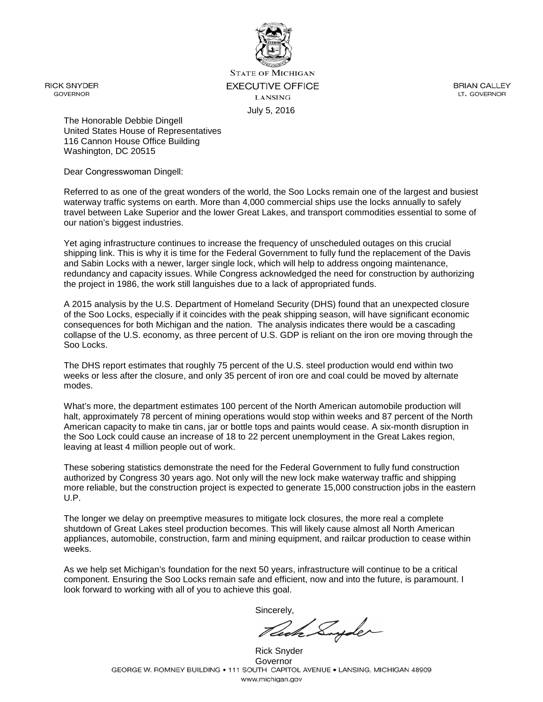

**STATE OF MICHIGAN EXECUTIVE OFFICE LANSING** July 5, 2016

**BRIAN CALLEY** LT. GOVERNOR

The Honorable Debbie Dingell United States House of Representatives 116 Cannon House Office Building Washington, DC 20515

Dear Congresswoman Dingell:

Referred to as one of the great wonders of the world, the Soo Locks remain one of the largest and busiest waterway traffic systems on earth. More than 4,000 commercial ships use the locks annually to safely travel between Lake Superior and the lower Great Lakes, and transport commodities essential to some of our nation's biggest industries.

Yet aging infrastructure continues to increase the frequency of unscheduled outages on this crucial shipping link. This is why it is time for the Federal Government to fully fund the replacement of the Davis and Sabin Locks with a newer, larger single lock, which will help to address ongoing maintenance, redundancy and capacity issues. While Congress acknowledged the need for construction by authorizing the project in 1986, the work still languishes due to a lack of appropriated funds.

A 2015 analysis by the U.S. Department of Homeland Security (DHS) found that an unexpected closure of the Soo Locks, especially if it coincides with the peak shipping season, will have significant economic consequences for both Michigan and the nation. The analysis indicates there would be a cascading collapse of the U.S. economy, as three percent of U.S. GDP is reliant on the iron ore moving through the Soo Locks.

The DHS report estimates that roughly 75 percent of the U.S. steel production would end within two weeks or less after the closure, and only 35 percent of iron ore and coal could be moved by alternate modes.

What's more, the department estimates 100 percent of the North American automobile production will halt, approximately 78 percent of mining operations would stop within weeks and 87 percent of the North American capacity to make tin cans, jar or bottle tops and paints would cease. A six-month disruption in the Soo Lock could cause an increase of 18 to 22 percent unemployment in the Great Lakes region, leaving at least 4 million people out of work.

These sobering statistics demonstrate the need for the Federal Government to fully fund construction authorized by Congress 30 years ago. Not only will the new lock make waterway traffic and shipping more reliable, but the construction project is expected to generate 15,000 construction jobs in the eastern U.P.

The longer we delay on preemptive measures to mitigate lock closures, the more real a complete shutdown of Great Lakes steel production becomes. This will likely cause almost all North American appliances, automobile, construction, farm and mining equipment, and railcar production to cease within weeks.

As we help set Michigan's foundation for the next 50 years, infrastructure will continue to be a critical component. Ensuring the Soo Locks remain safe and efficient, now and into the future, is paramount. I look forward to working with all of you to achieve this goal.

Sincerely,

Rich Suyder

Rick Snyder Governor<br>GEORGE W. ROMNEY BUILDING • 111 SOUTH CAPITOL AVENUE • LANSING, MICHIGAN 48909 www.michigan.gov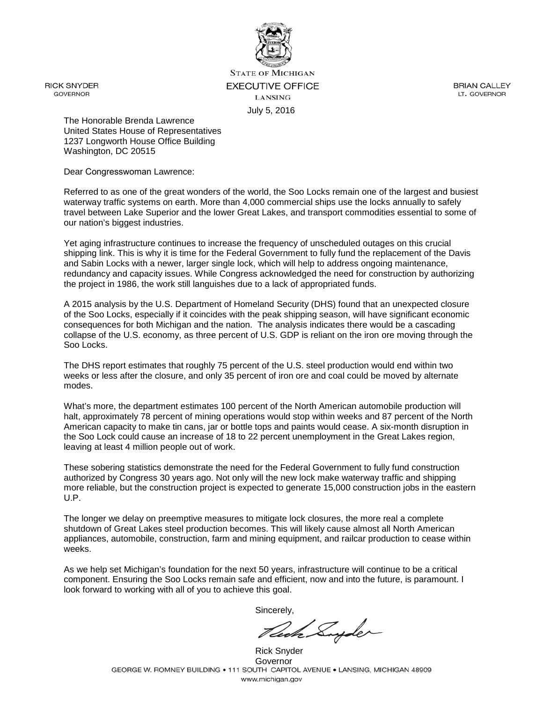

**STATE OF MICHIGAN EXECUTIVE OFFICE LANSING** July 5, 2016

**BRIAN CALLEY** LT. GOVERNOR

The Honorable Brenda Lawrence United States House of Representatives 1237 Longworth House Office Building Washington, DC 20515

Dear Congresswoman Lawrence:

Referred to as one of the great wonders of the world, the Soo Locks remain one of the largest and busiest waterway traffic systems on earth. More than 4,000 commercial ships use the locks annually to safely travel between Lake Superior and the lower Great Lakes, and transport commodities essential to some of our nation's biggest industries.

Yet aging infrastructure continues to increase the frequency of unscheduled outages on this crucial shipping link. This is why it is time for the Federal Government to fully fund the replacement of the Davis and Sabin Locks with a newer, larger single lock, which will help to address ongoing maintenance, redundancy and capacity issues. While Congress acknowledged the need for construction by authorizing the project in 1986, the work still languishes due to a lack of appropriated funds.

A 2015 analysis by the U.S. Department of Homeland Security (DHS) found that an unexpected closure of the Soo Locks, especially if it coincides with the peak shipping season, will have significant economic consequences for both Michigan and the nation. The analysis indicates there would be a cascading collapse of the U.S. economy, as three percent of U.S. GDP is reliant on the iron ore moving through the Soo Locks.

The DHS report estimates that roughly 75 percent of the U.S. steel production would end within two weeks or less after the closure, and only 35 percent of iron ore and coal could be moved by alternate modes.

What's more, the department estimates 100 percent of the North American automobile production will halt, approximately 78 percent of mining operations would stop within weeks and 87 percent of the North American capacity to make tin cans, jar or bottle tops and paints would cease. A six-month disruption in the Soo Lock could cause an increase of 18 to 22 percent unemployment in the Great Lakes region, leaving at least 4 million people out of work.

These sobering statistics demonstrate the need for the Federal Government to fully fund construction authorized by Congress 30 years ago. Not only will the new lock make waterway traffic and shipping more reliable, but the construction project is expected to generate 15,000 construction jobs in the eastern U.P.

The longer we delay on preemptive measures to mitigate lock closures, the more real a complete shutdown of Great Lakes steel production becomes. This will likely cause almost all North American appliances, automobile, construction, farm and mining equipment, and railcar production to cease within weeks.

As we help set Michigan's foundation for the next 50 years, infrastructure will continue to be a critical component. Ensuring the Soo Locks remain safe and efficient, now and into the future, is paramount. I look forward to working with all of you to achieve this goal.

lede Suyder

Rick Snyder Governor<br>GEORGE W. ROMNEY BUILDING • 111 SOUTH CAPITOL AVENUE • LANSING, MICHIGAN 48909 www.michigan.gov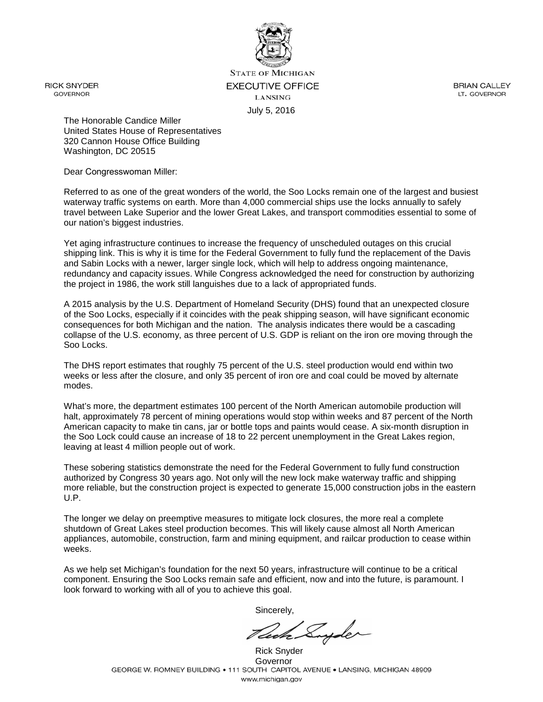

**STATE OF MICHIGAN EXECUTIVE OFFICE LANSING** July 5, 2016

**BRIAN CALLEY** LT. GOVERNOR

The Honorable Candice Miller United States House of Representatives 320 Cannon House Office Building Washington, DC 20515

Dear Congresswoman Miller:

Referred to as one of the great wonders of the world, the Soo Locks remain one of the largest and busiest waterway traffic systems on earth. More than 4,000 commercial ships use the locks annually to safely travel between Lake Superior and the lower Great Lakes, and transport commodities essential to some of our nation's biggest industries.

Yet aging infrastructure continues to increase the frequency of unscheduled outages on this crucial shipping link. This is why it is time for the Federal Government to fully fund the replacement of the Davis and Sabin Locks with a newer, larger single lock, which will help to address ongoing maintenance, redundancy and capacity issues. While Congress acknowledged the need for construction by authorizing the project in 1986, the work still languishes due to a lack of appropriated funds.

A 2015 analysis by the U.S. Department of Homeland Security (DHS) found that an unexpected closure of the Soo Locks, especially if it coincides with the peak shipping season, will have significant economic consequences for both Michigan and the nation. The analysis indicates there would be a cascading collapse of the U.S. economy, as three percent of U.S. GDP is reliant on the iron ore moving through the Soo Locks.

The DHS report estimates that roughly 75 percent of the U.S. steel production would end within two weeks or less after the closure, and only 35 percent of iron ore and coal could be moved by alternate modes.

What's more, the department estimates 100 percent of the North American automobile production will halt, approximately 78 percent of mining operations would stop within weeks and 87 percent of the North American capacity to make tin cans, jar or bottle tops and paints would cease. A six-month disruption in the Soo Lock could cause an increase of 18 to 22 percent unemployment in the Great Lakes region, leaving at least 4 million people out of work.

These sobering statistics demonstrate the need for the Federal Government to fully fund construction authorized by Congress 30 years ago. Not only will the new lock make waterway traffic and shipping more reliable, but the construction project is expected to generate 15,000 construction jobs in the eastern U.P.

The longer we delay on preemptive measures to mitigate lock closures, the more real a complete shutdown of Great Lakes steel production becomes. This will likely cause almost all North American appliances, automobile, construction, farm and mining equipment, and railcar production to cease within weeks.

As we help set Michigan's foundation for the next 50 years, infrastructure will continue to be a critical component. Ensuring the Soo Locks remain safe and efficient, now and into the future, is paramount. I look forward to working with all of you to achieve this goal.

John Suyder

Rick Snyder Governor<br>GEORGE W. ROMNEY BUILDING • 111 SOUTH CAPITOL AVENUE • LANSING, MICHIGAN 48909 www.michigan.gov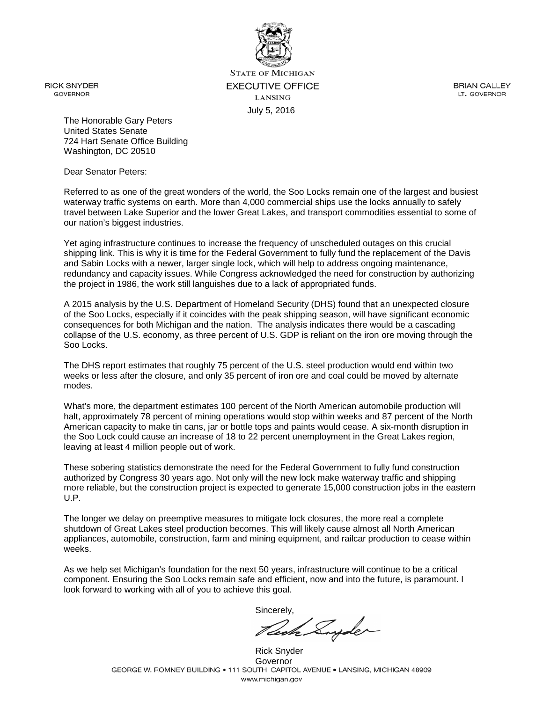

**STATE OF MICHIGAN EXECUTIVE OFFICE LANSING** July 5, 2016

**RICK SNYDER GOVERNOR** 

**BRIAN CALLEY** LT. GOVERNOR

The Honorable Gary Peters United States Senate 724 Hart Senate Office Building Washington, DC 20510

Dear Senator Peters:

Referred to as one of the great wonders of the world, the Soo Locks remain one of the largest and busiest waterway traffic systems on earth. More than 4,000 commercial ships use the locks annually to safely travel between Lake Superior and the lower Great Lakes, and transport commodities essential to some of our nation's biggest industries.

Yet aging infrastructure continues to increase the frequency of unscheduled outages on this crucial shipping link. This is why it is time for the Federal Government to fully fund the replacement of the Davis and Sabin Locks with a newer, larger single lock, which will help to address ongoing maintenance, redundancy and capacity issues. While Congress acknowledged the need for construction by authorizing the project in 1986, the work still languishes due to a lack of appropriated funds.

A 2015 analysis by the U.S. Department of Homeland Security (DHS) found that an unexpected closure of the Soo Locks, especially if it coincides with the peak shipping season, will have significant economic consequences for both Michigan and the nation. The analysis indicates there would be a cascading collapse of the U.S. economy, as three percent of U.S. GDP is reliant on the iron ore moving through the Soo Locks.

The DHS report estimates that roughly 75 percent of the U.S. steel production would end within two weeks or less after the closure, and only 35 percent of iron ore and coal could be moved by alternate modes.

What's more, the department estimates 100 percent of the North American automobile production will halt, approximately 78 percent of mining operations would stop within weeks and 87 percent of the North American capacity to make tin cans, jar or bottle tops and paints would cease. A six-month disruption in the Soo Lock could cause an increase of 18 to 22 percent unemployment in the Great Lakes region, leaving at least 4 million people out of work.

These sobering statistics demonstrate the need for the Federal Government to fully fund construction authorized by Congress 30 years ago. Not only will the new lock make waterway traffic and shipping more reliable, but the construction project is expected to generate 15,000 construction jobs in the eastern U.P.

The longer we delay on preemptive measures to mitigate lock closures, the more real a complete shutdown of Great Lakes steel production becomes. This will likely cause almost all North American appliances, automobile, construction, farm and mining equipment, and railcar production to cease within weeks.

As we help set Michigan's foundation for the next 50 years, infrastructure will continue to be a critical component. Ensuring the Soo Locks remain safe and efficient, now and into the future, is paramount. I look forward to working with all of you to achieve this goal.

Cech Suyder

Rick Snyder Governor<br>GEORGE W. ROMNEY BUILDING • 111 SOUTH CAPITOL AVENUE • LANSING, MICHIGAN 48909 www.michigan.gov